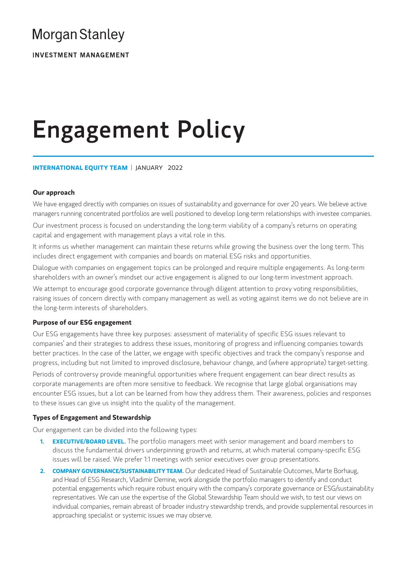# **Morgan Stanley**

**INVESTMENT MANAGEMENT** 

# Engagement Policy

# **INTERNATIONAL EQUITY TEAM** | JANUARY 2022

# **Our approach**

We have engaged directly with companies on issues of sustainability and governance for over 20 years. We believe active managers running concentrated portfolios are well positioned to develop long-term relationships with investee companies.

Our investment process is focused on understanding the long-term viability of a company's returns on operating capital and engagement with management plays a vital role in this.

It informs us whether management can maintain these returns while growing the business over the long term. This includes direct engagement with companies and boards on material ESG risks and opportunities.

Dialogue with companies on engagement topics can be prolonged and require multiple engagements. As long-term shareholders with an owner's mindset our active engagement is aligned to our long-term investment approach.

We attempt to encourage good corporate governance through diligent attention to proxy voting responsibilities, raising issues of concern directly with company management as well as voting against items we do not believe are in the long-term interests of shareholders.

# **Purpose of our ESG engagement**

Our ESG engagements have three key purposes: assessment of materiality of specific ESG issues relevant to companies' and their strategies to address these issues, monitoring of progress and influencing companies towards better practices. In the case of the latter, we engage with specific objectives and track the company's response and progress, including but not limited to improved disclosure, behaviour change, and (where appropriate) target-setting.

Periods of controversy provide meaningful opportunities where frequent engagement can bear direct results as corporate managements are often more sensitive to feedback. We recognise that large global organisations may encounter ESG issues, but a lot can be learned from how they address them. Their awareness, policies and responses to these issues can give us insight into the quality of the management.

# **Types of Engagement and Stewardship**

Our engagement can be divided into the following types:

- **1. EXECUTIVE/BOARD LEVEL.** The portfolio managers meet with senior management and board members to discuss the fundamental drivers underpinning growth and returns, at which material company-specific ESG issues will be raised. We prefer 1:1 meetings with senior executives over group presentations.
- 2. **COMPANY GOVERNANCE/SUSTAINABILITY TEAM.** Our dedicated Head of Sustainable Outcomes, Marte Borhaug, and Head of ESG Research, Vladimir Demine, work alongside the portfolio managers to identify and conduct potential engagements which require robust enquiry with the company's corporate governance or ESG/sustainability representatives. We can use the expertise of the Global Stewardship Team should we wish, to test our views on individual companies, remain abreast of broader industry stewardship trends, and provide supplemental resources in approaching specialist or systemic issues we may observe.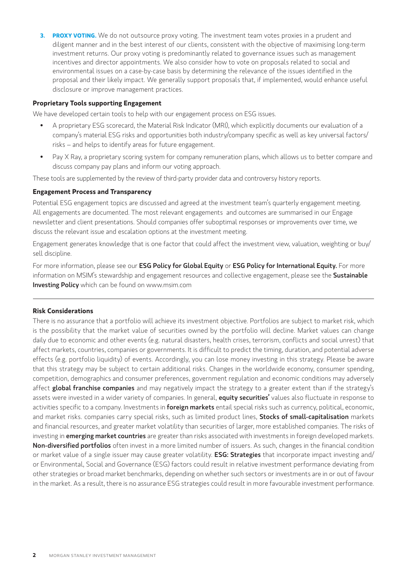**3. PROXY VOTING.** We do not outsource proxy voting. The investment team votes proxies in a prudent and diligent manner and in the best interest of our clients, consistent with the objective of maximising long-term investment returns. Our proxy voting is predominantly related to governance issues such as management incentives and director appointments. We also consider how to vote on proposals related to social and environmental issues on a case-by-case basis by determining the relevance of the issues identified in the proposal and their likely impact. We generally support proposals that, if implemented, would enhance useful disclosure or improve management practices.

# **Proprietary Tools supporting Engagement**

We have developed certain tools to help with our engagement process on ESG issues.

- A proprietary ESG scorecard, the Material Risk Indicator (MRI), which explicitly documents our evaluation of a company's material ESG risks and opportunities both industry/company specific as well as key universal factors/ risks – and helps to identify areas for future engagement.
- Pay X Ray, a proprietary scoring system for company remuneration plans, which allows us to better compare and discuss company pay plans and inform our voting approach.

These tools are supplemented by the review of third-party provider data and controversy history reports.

## **Engagement Process and Transparency**

Potential ESG engagement topics are discussed and agreed at the investment team's quarterly engagement meeting. All engagements are documented. The most relevant engagements and outcomes are summarised in our Engage newsletter and client presentations. Should companies offer suboptimal responses or improvements over time, we discuss the relevant issue and escalation options at the investment meeting.

Engagement generates knowledge that is one factor that could affect the investment view, valuation, weighting or buy/ sell discipline.

For more information, please see our ESG Policy for Global Equity or ESG Policy for International Equity. For more information on MSIM's stewardship and engagement resources and collective engagement, please see the Sustainable **Investing Policy** which can be found on www.msim.com

### **Risk Considerations**

There is no assurance that a portfolio will achieve its investment objective. Portfolios are subject to market risk, which is the possibility that the market value of securities owned by the portfolio will decline. Market values can change daily due to economic and other events (e.g. natural disasters, health crises, terrorism, conflicts and social unrest) that affect markets, countries, companies or governments. It is difficult to predict the timing, duration, and potential adverse effects (e.g. portfolio liquidity) of events. Accordingly, you can lose money investing in this strategy. Please be aware that this strategy may be subject to certain additional risks. Changes in the worldwide economy, consumer spending, competition, demographics and consumer preferences, government regulation and economic conditions may adversely affect global franchise companies and may negatively impact the strategy to a greater extent than if the strategy's assets were invested in a wider variety of companies. In general, equity securities' values also fluctuate in response to activities specific to a company. Investments in foreign markets entail special risks such as currency, political, economic, and market risks. companies carry special risks, such as limited product lines, Stocks of small-capitalisation markets and financial resources, and greater market volatility than securities of larger, more established companies. The risks of investing in *emerging market countries* are greater than risks associated with investments in foreign developed markets. Non-diversified portfolios often invest in a more limited number of issuers. As such, changes in the financial condition or market value of a single issuer may cause greater volatility. **ESG: Strategies** that incorporate impact investing and/ or Environmental, Social and Governance (ESG) factors could result in relative investment performance deviating from other strategies or broad market benchmarks, depending on whether such sectors or investments are in or out of favour in the market. As a result, there is no assurance ESG strategies could result in more favourable investment performance.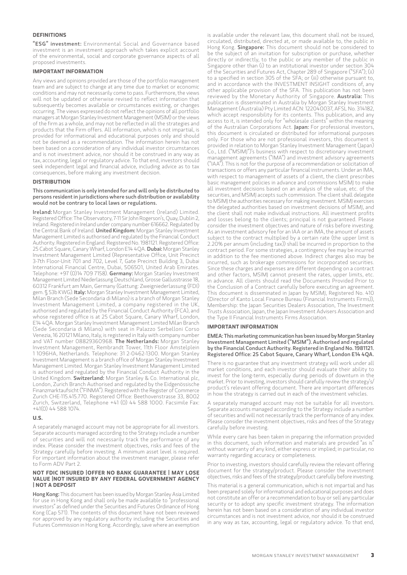#### **DEFINITIONS**

"ESG" investment: Environmental Social and Governance based investment is an investment approach which takes explicit account of the environmental, social and corporate governance aspects of all proposed investments.

#### **IMPORTANT INFORMATION**

Any views and opinions provided are those of the portfolio management team and are subject to change at any time due to market or economic conditions and may not necessarily come to pass. Furthermore, the views will not be updated or otherwise revised to reflect information that subsequently becomes available or circumstances existing, or changes occurring. The views expressed do not reflect the opinions of all portfolio managers at Morgan Stanley Investment Management (MSIM) or the views of the firm as a whole, and may not be reflected in all the strategies and products that the Firm offers. All information, which is not impartial, is provided for informational and educational purposes only and should not be deemed as a recommendation. The information herein has not been based on a consideration of any individual investor circumstances and is not investment advice, nor should it be construed in any way as tax, accounting, legal or regulatory advice. To that end, investors should seek independent legal and financial advice, including advice as to tax consequences, before making any investment decision.

#### **DISTRIBUTION**

#### This communication is only intended for and will only be distributed to persons resident in jurisdictions where such distribution or availability would not be contrary to local laws or regulations.

Ireland: Morgan Stanley Investment Management (Ireland) Limited. Registered Office: The Observatory, 7-11 Sir John Rogerson's, Quay, Dublin 2, Ireland. Registered in Ireland under company number 616662. Regulated by the Central Bank of Ireland. United Kingdom: Morgan Stanley Investment Management Limited is authorised and regulated by the Financial Conduct Authority. Registered in England. Registered No. 1981121. Registered Office: 25 Cabot Square, Canary Wharf, London E14 4 QA. Dubai: Morgan Stanley Investment Management Limited (Representative Office, Unit Precinct 3-7th Floor-Unit 701 and 702, Level 7, Gate Precinct Building 3, Dubai International Financial Centre, Dubai, 506501, United Arab Emirates. Telephone: +97 (0)14 709 7158). Germany: Morgan Stanley Investment Management Limited Niederlassung Deutschland, Grosse Gallusstrasse 18, 60312 Frankfurt am Main, Germany (Gattung: Zweigniederlassung (FDI) gem. § 53b KWG). Italy: Morgan Stanley Investment Management Limited, Milan Branch (Sede Secondaria di Milano) is a branch of Morgan Stanley Investment Management Limited, a company registered in the UK, authorised and regulated by the Financial Conduct Authority (FCA), and whose registered office is at 25 Cabot Square, Canary Wharf, London, E14 4QA. Morgan Stanley Investment Management Limited Milan Branch (Sede Secondaria di Milano) with seat in Palazzo Serbelloni Corso Venezia, 16 20121 Milano, Italy, is registered in Italy with company number and VAT number 08829360968. The Netherlands: Morgan Stanley Investment Management, Rembrandt Tower, 11th Floor Amstelplein 1 1096HA, Netherlands. Telephone: 31 2-0462-1300. Morgan Stanley Investment Management is a branch office of Morgan Stanley Investment Management Limited. Morgan Stanley Investment Management Limited is authorised and regulated by the Financial Conduct Authority in the United Kingdom. Switzerland: Morgan Stanley & Co. International plc, London, Zurich Branch Authorised and regulated by the Eidgenössische Finanzmarktaufsicht ("FINMA"). Registered with the Register of Commerce Zurich CHE-115.415.770. Registered Office: Beethovenstrasse 33, 8002 Zurich, Switzerland, Telephone +41 (0) 44 588 1000. Facsimile Fax:  $+41(0)$  44 588 1074

#### **U.S.**

A separately managed account may not be appropriate for all investors. Separate accounts managed according to the Strategy include a number of securities and will not necessarily track the performance of any index. Please consider the investment objectives, risks and fees of the Strategy carefully before investing. A minimum asset level is required. For important information about the investment manager, please refer to Form ADV Part 2.

#### **NOT FDIC INSURED |OFFER NO BANK GUARANTEE | MAY LOSE VALUE |NOT INSURED BY ANY FEDERAL GOVERNMENT AGENCY | NOT A DEPOSIT**

Hong Kong: This document has been issued by Morgan Stanley Asia Limited for use in Hong Kong and shall only be made available to "professional investors" as defined under the Securities and Futures Ordinance of Hong Kong (Cap 571). The contents of this document have not been reviewed nor approved by any regulatory authority including the Securities and Futures Commission in Hong Kong. Accordingly, save where an exemption

is available under the relevant law, this document shall not be issued, circulated, distributed, directed at, or made available to, the public in Hong Kong. Singapore: This document should not be considered to be the subject of an invitation for subscription or purchase, whether directly or indirectly, to the public or any member of the public in Singapore other than (i) to an institutional investor under section 304 of the Securities and Futures Act, Chapter 289 of Singapore ("SFA"); (ii) to a specified in section 305 of the SFA; or (iii) otherwise pursuant to, and in accordance with the INVESTMENT INSIGHT conditions of, any other applicable provision of the SFA. This publication has not been reviewed by the Monetary Authority of Singapore. Australia: This publication is disseminated in Australia by Morgan Stanley Investment Management (Australia) Pty Limited ACN: 122040037, AFSL No. 314182, which accept responsibility for its contents. This publication, and any access to it, is intended only for "wholesale clients" within the meaning of the Australian Corporations Act. Japan: For professional investors, this document is circulated or distributed for informational purposes only. For those who are not professional investors, this document is provided in relation to Morgan Stanley Investment Management (Japan) Co., Ltd. ("MSIMJ")'s business with respect to discretionary investment management agreements ("IMA") and investment advisory agreements ("IAA"). This is not for the purpose of a recommendation or solicitation of transactions or offers any particular financial instruments. Under an IMA, with respect to management of assets of a client, the client prescribes basic management policies in advance and commissions MSIMJ to make all investment decisions based on an analysis of the value, etc. of the securities, and MSIMJ accepts such commission. The client shall delegate to MSIMJ the authorities necessary for making investment. MSIMJ exercises the delegated authorities based on investment decisions of MSIMJ, and the client shall not make individual instructions. All investment profits and losses belong to the clients; principal is not guaranteed. Please consider the investment objectives and nature of risks before investing. As an investment advisory fee for an IAA or an IMA, the amount of assets subject to the contract multiplied by a certain rate (the upper limit is 2.20% per annum (including tax)) shall be incurred in proportion to the contract period. For some strategies, a contingency fee may be incurred in addition to the fee mentioned above. Indirect charges also may be incurred, such as brokerage commissions for incorporated securities. Since these charges and expenses are different depending on a contract and other factors, MSIMJ cannot present the rates, upper limits, etc. in advance. All clients should read the Documents Provided Prior to the Conclusion of a Contract carefully before executing an agreement. This document is disseminated in Japan by MSIMJ, Registered No. 410 (Director of Kanto Local Finance Bureau (Financial Instruments Firms)), Membership: the Japan Securities Dealers Association, The Investment Trusts Association, Japan, the Japan Investment Advisers Association and the Type II Financial Instruments Firms Association.

#### **IMPORTANT INFORMATION**

EMEA: This marketing communication has been issued by Morgan Stanley Investment Management Limited ("MSIM"). Authorised and regulated by the Financial Conduct Authority. Registered in England No. 1981121. Registered Office: 25 Cabot Square, Canary Wharf, London E14 4QA.

There is no guarantee that any investment strategy will work under all market conditions, and each investor should evaluate their ability to invest for the long-term, especially during periods of downturn in the market. Prior to investing, investors should carefully review the strategy's/ product's relevant offering document. There are important differences in how the strategy is carried out in each of the investment vehicles.

A separately managed account may not be suitable for all investors. Separate accounts managed according to the Strategy include a number of securities and will not necessarily track the performance of any index. Please consider the investment objectives, risks and fees of the Strategy carefully before investing.

While every care has been taken in preparing the information provided in this document, such information and materials are provided "as is" without warranty of any kind, either express or implied; in particular, no warranty regarding accuracy or completeness.

Prior to investing, investors should carefully review the relevant offering document for the strategy/product. Please consider the investment objectives, risks and fees of the strategy/product carefully before investing.

This material is a general communication, which is not impartial and has been prepared solely for informational and educational purposes and does not constitute an offer or a recommendation to buy or sell any particular security or to adopt any specific investment strategy. The information herein has not been based on a consideration of any individual investor circumstances and is not investment advice, nor should it be construed in any way as tax, accounting, legal or regulatory advice. To that end,